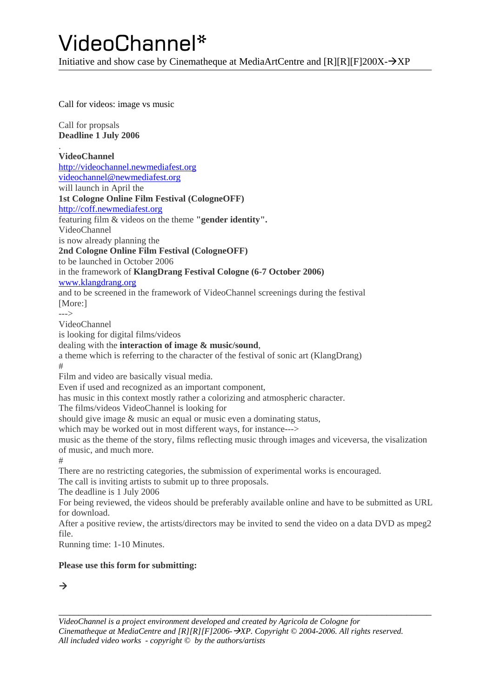Initiative and show case by Cinematheque at MediaArtCentre and  $IRIIRIFI200X- $\rightarrow$ XP$ 

[Call for videos: image vs music](http://videochannel.newmediafest.org/)

Call for propsals **Deadline 1 July 2006**

. **VideoChannel** [http://videochannel.newmediafest.org](http://videochannel.newmediafest.org/) [videochannel@newmediafest.org](mailto:videochannel@newmediafest.org) will launch in April the **1st Cologne Online Film Festival (CologneOFF)** [http://coff.newmediafest.org](http://coff.newmediafest.org/) featuring film & videos on the theme **"gender identity".** VideoChannel is now already planning the **2nd Cologne Online Film Festival (CologneOFF)** to be launched in October 2006 in the framework of **KlangDrang Festival Cologne (6-7 October 2006)** [www.klangdrang.org](http://www.klangdrang.org/) and to be screened in the framework of VideoChannel screenings during the festival [More:] ---> VideoChannel is looking for digital films/videos dealing with the **interaction of image & music/sound**, a theme which is referring to the character of the festival of sonic art (KlangDrang) # Film and video are basically visual media. Even if used and recognized as an important component, has music in this context mostly rather a colorizing and atmospheric character. The films/videos VideoChannel is looking for should give image & music an equal or music even a dominating status, which may be worked out in most different ways, for instance---> music as the theme of the story, films reflecting music through images and viceversa, the visalization of music, and much more. # There are no restricting categories, the submission of experimental works is encouraged. The call is inviting artists to submit up to three proposals. The deadline is 1 July 2006 For being reviewed, the videos should be preferably available online and have to be submitted as URL for download. After a positive review, the artists/directors may be invited to send the video on a data DVD as mpeg2 file. Running time: 1-10 Minutes.

#### **Please use this form for submitting:**

 $\rightarrow$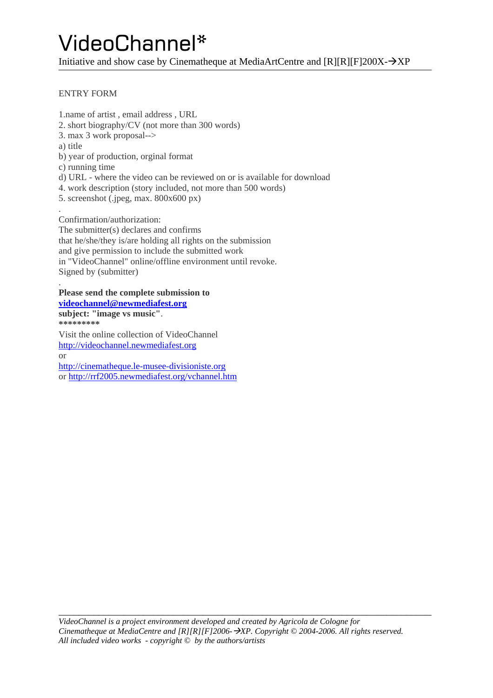Initiative and show case by Cinematheque at MediaArtCentre and  $[R][R][F]200X - \rightarrow XP$ 

#### ENTRY FORM

.

1.name of artist , email address , URL 2. short biography/CV (not more than 300 words) 3. max 3 work proposal--> a) title b) year of production, orginal format c) running time d) URL - where the video can be reviewed on or is available for download 4. work description (story included, not more than 500 words) 5. screenshot (.jpeg, max. 800x600 px) . Confirmation/authorization:

The submitter(s) declares and confirms that he/she/they is/are holding all rights on the submission and give permission to include the submitted work in "VideoChannel" online/offline environment until revoke. Signed by (submitter)

#### **Please send the complete submission to [videochannel@newmediafest.org](mailto:videochannel@newmediafest.org)**

**subject: "image vs music"**. **\*\*\*\*\*\*\*\*\*** Visit the online collection of VideoChannel [http://videochannel.newmediafest.org](http://videochannel.newmediafest.org/) or [http://cinematheque.le-musee-divisioniste.org](http://cinematheque.le-musee-divisioniste.org/) or <http://rrf2005.newmediafest.org/vchannel.htm>

\_\_\_\_\_\_\_\_\_\_\_\_\_\_\_\_\_\_\_\_\_\_\_\_\_\_\_\_\_\_\_\_\_\_\_\_\_\_\_\_\_\_\_\_\_\_\_\_\_\_\_\_\_\_\_\_\_\_\_\_\_\_\_\_\_\_\_\_\_\_\_\_\_\_\_ *VideoChannel is a project environment developed and created by Agricola de Cologne for Cinematheque at MediaCentre and [R][R][F]2006-→XP. Copyright © 2004-2006. All rights reserved. All included video works - copyright © by the authors/artists*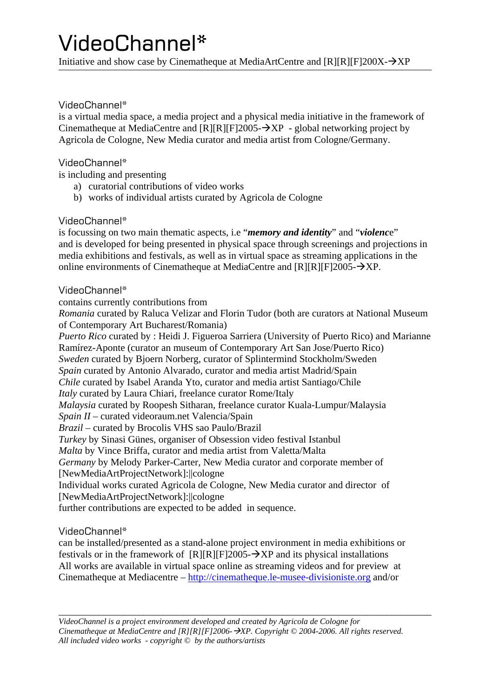Initiative and show case by Cinematheque at MediaArtCentre and  $IRIIRIFI200X-\rightarrow XP$ 

#### VideoChannel\*

is a virtual media space, a media project and a physical media initiative in the framework of Cinematheque at MediaCentre and  $[{\bf R}] [F] 2005 - \lambda {\bf X} {\bf P}$  - global networking project by Agricola de Cologne, New Media curator and media artist from Cologne/Germany.

#### VideoChannel\*

is including and presenting

- a) curatorial contributions of video works
- b) works of individual artists curated by Agricola de Cologne

#### VideoChannel\*

is focussing on two main thematic aspects, i.e "*memory and identity*" and "*violenc*e" and is developed for being presented in physical space through screenings and projections in media exhibitions and festivals, as well as in virtual space as streaming applications in the online environments of Cinematheque at MediaCentre and  $[R][R][F]2005 - \rightarrow NP$ .

#### VideoChannel\*

contains currently contributions from

*Romania* curated by Raluca Velizar and Florin Tudor (both are curators at National Museum of Contemporary Art Bucharest/Romania)

*Puerto Rico* curated by : Heidi J. Figueroa Sarriera (University of Puerto Rico) and Marianne Ramírez-Aponte (curator an museum of Contemporary Art San Jose/Puerto Rico) *Sweden* curated by Bjoern Norberg, curator of Splintermind Stockholm/Sweden *Spain* curated by Antonio Alvarado, curator and media artist Madrid/Spain *Chile* curated by Isabel Aranda Yto, curator and media artist Santiago/Chile *Italy* curated by Laura Chiari, freelance curator Rome/Italy *Malaysia* curated by Roopesh Sitharan, freelance curator Kuala-Lumpur/Malaysia *Spain II –* curated videoraum.net Valencia/Spain *Brazil* – curated by Brocolis VHS sao Paulo/Brazil *Turkey* by Sinasi Günes, organiser of Obsession video festival Istanbul *Malta* by Vince Briffa, curator and media artist from Valetta/Malta *Germany* by Melody Parker-Carter, New Media curator and corporate member of [NewMediaArtProjectNetwork]:||cologne Individual works curated Agricola de Cologne, New Media curator and director of [NewMediaArtProjectNetwork]:||cologne further contributions are expected to be added in sequence.

VideoChannel\*

can be installed/presented as a stand-alone project environment in media exhibitions or festivals or in the framework of  $[R][R][F]2005-\rightarrow XP$  and its physical installations All works are available in virtual space online as streaming videos and for preview at Cinematheque at Mediacentre – [http://cinematheque.le-musee-divisioniste.org](http://cinematheque.le-musee-divisioniste.org/) and/or

\_\_\_\_\_\_\_\_\_\_\_\_\_\_\_\_\_\_\_\_\_\_\_\_\_\_\_\_\_\_\_\_\_\_\_\_\_\_\_\_\_\_\_\_\_\_\_\_\_\_\_\_\_\_\_\_\_\_\_\_\_\_\_\_\_\_\_\_\_\_\_\_\_\_\_ *VideoChannel is a project environment developed and created by Agricola de Cologne for Cinematheque at MediaCentre and [R][R][F]2006-→XP. Copyright © 2004-2006. All rights reserved. All included video works - copyright © by the authors/artists*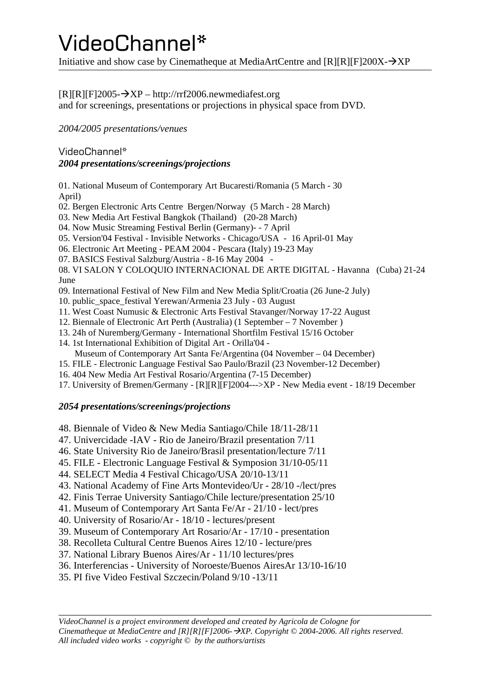Initiative and show case by Cinematheque at MediaArtCentre and  $[R][R][F]200X - \rightarrow XP$ 

#### $[R][R][F]2005-\rightarrow XP - http://rrf2006.newmediafest.org$  $[R][R][F]2005-\rightarrow XP - http://rrf2006.newmediafest.org$

and for screenings, presentations or projections in physical space from DVD.

*2004/2005 presentations/venues* 

#### VideoChannel\* *2004 presentations/screenings/projections*

01. National Museum of Contemporary Art Bucaresti/Romania (5 March - 30 April)

02. Bergen Electronic Arts Centre Bergen/Norway (5 March - 28 March)

- 03. New Media Art Festival Bangkok (Thailand) (20-28 March)
- 04. Now Music Streaming Festival Berlin (Germany)- 7 April
- 05. Version'04 Festival Invisible Networks Chicago/USA 16 April-01 May
- 06. Electronic Art Meeting PEAM 2004 Pescara (Italy) 19-23 May
- 07. BASICS Festival Salzburg/Austria 8-16 May 2004 -

08. VI SALON Y COLOQUIO INTERNACIONAL DE ARTE DIGITAL - Havanna (Cuba) 21-24 June

- 09. International Festival of New Film and New Media Split/Croatia (26 June-2 July)
- 10. public\_space\_festival Yerewan/Armenia 23 July 03 August
- 11. West Coast Numusic & Electronic Arts Festival Stavanger/Norway 17-22 August
- 12. Biennale of Electronic Art Perth (Australia) (1 September 7 November )
- 13. 24h of Nuremberg/Germany International Shortfilm Festival 15/16 October
- 14. 1st International Exhibition of Digital Art Orilla'04 -
- Museum of Contemporary Art Santa Fe/Argentina (04 November 04 December)
- 15. FILE Electronic Language Festival Sao Paulo/Brazil (23 November-12 December)
- 16. 404 New Media Art Festival Rosario/Argentina (7-15 December)
- 17. University of Bremen/Germany [R][R][F]2004--->XP New Media event 18/19 December

#### *2054 presentations/screenings/projections*

48. Biennale of Video & New Media Santiago/Chile 18/11-28/11

- 47. Univercidade -IAV Rio de Janeiro/Brazil presentation 7/11
- 46. State University Rio de Janeiro/Brasil presentation/lecture 7/11
- 45. FILE Electronic Language Festival & Symposion 31/10-05/11
- 44. SELECT Media 4 Festival Chicago/USA 20/10-13/11
- 43. National Academy of Fine Arts Montevideo/Ur 28/10 -/lect/pres
- 42. Finis Terrae University Santiago/Chile lecture/presentation 25/10
- 41. Museum of Contemporary Art Santa Fe/Ar 21/10 lect/pres
- 40. University of Rosario/Ar 18/10 lectures/present
- 39. Museum of Contemporary Art Rosario/Ar 17/10 presentation
- 38. Recolleta Cultural Centre Buenos Aires 12/10 lecture/pres
- 37. National Library Buenos Aires/Ar 11/10 lectures/pres
- 36. Interferencias University of Noroeste/Buenos AiresAr 13/10-16/10
- 35. PI five Video Festival Szczecin/Poland 9/10 -13/11